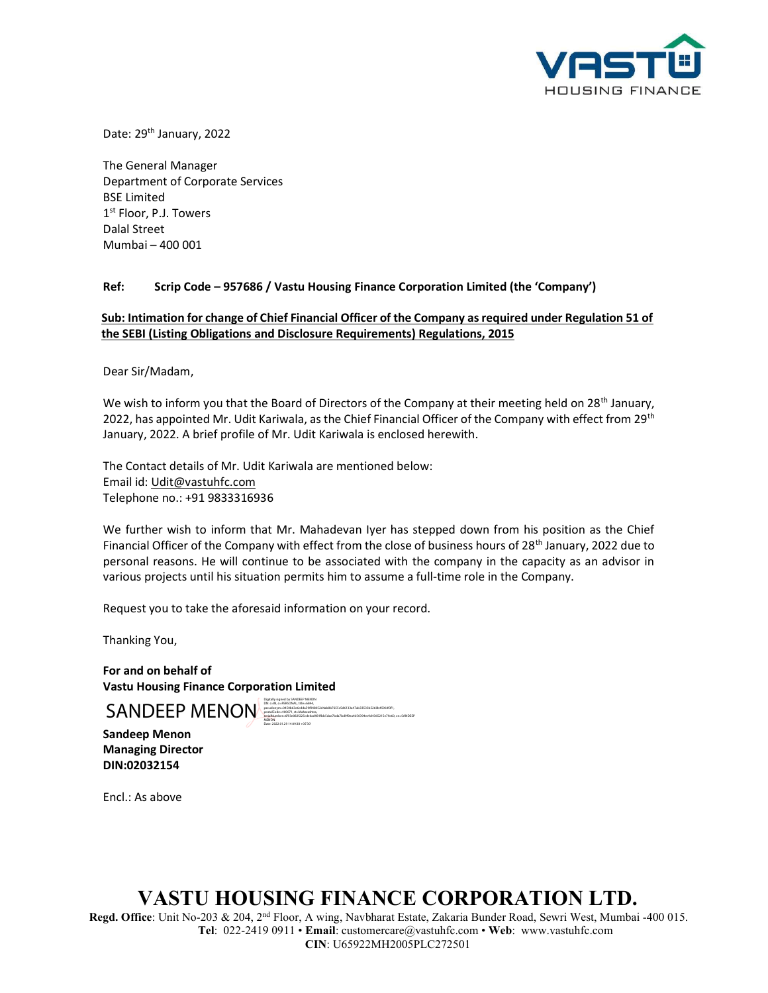

Date: 29<sup>th</sup> January, 2022

The General Manager Department of Corporate Services BSE Limited 1 st Floor, P.J. Towers Dalal Street Mumbai – 400 001

## Ref: Scrip Code – 957686 / Vastu Housing Finance Corporation Limited (the 'Company')

## Sub: Intimation for change of Chief Financial Officer of the Company as required under Regulation 51 of the SEBI (Listing Obligations and Disclosure Requirements) Regulations, 2015

Dear Sir/Madam,

We wish to inform you that the Board of Directors of the Company at their meeting held on 28<sup>th</sup> January, 2022, has appointed Mr. Udit Kariwala, as the Chief Financial Officer of the Company with effect from 29<sup>th</sup> January, 2022. A brief profile of Mr. Udit Kariwala is enclosed herewith.

The Contact details of Mr. Udit Kariwala are mentioned below: Email id: Udit@vastuhfc.com Telephone no.: +91 9833316936

We further wish to inform that Mr. Mahadevan Iyer has stepped down from his position as the Chief Financial Officer of the Company with effect from the close of business hours of  $28<sup>th</sup>$  January, 2022 due to personal reasons. He will continue to be associated with the company in the capacity as an advisor in various projects until his situation permits him to assume a full-time role in the Company.

Request you to take the aforesaid information on your record.

DN: c=IN, o=PERSONAL, title=6844,

Date: 2022.01.29 14:09:38 +05'30'

postalCode=400071, st=Maharashtra,

pseudonym=0450b63e6cdda59f048052d4ab8b7655c5d6133a47ab33533b5260b45964f3f1,

serialNumber=6f93e082f225cde0ad981fbb5dae7bda7bd9f9ea4650394ec9d4365215e79c60, cn=SANDEEP

Thanking You,

For and on behalf of Vastu Housing Finance Corporation Limited

SANDEEP MENON

Sandeep Menon Managing Director DIN:02032154

Encl.: As above

## VASTU HOUSING FINANCE CORPORATION LTD.

Regd. Office: Unit No-203 & 204, 2<sup>nd</sup> Floor, A wing, Navbharat Estate, Zakaria Bunder Road, Sewri West, Mumbai -400 015. Tel: 022-2419 0911 • Email: customercare@vastuhfc.com • Web: www.vastuhfc.com CIN: U65922MH2005PLC272501